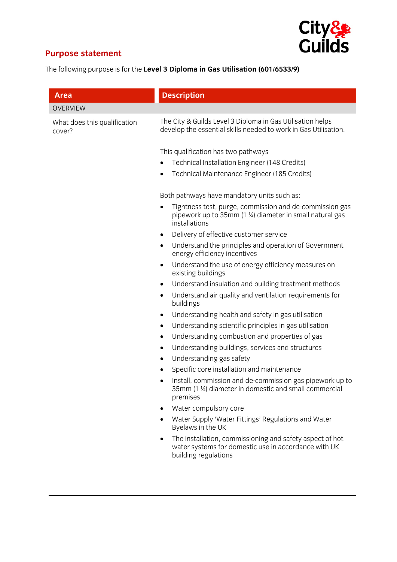

## **Purpose statement**

The following purpose is for the **Level 3 Diploma in Gas Utilisation (601/6533/9)**

| <b>Area</b>                            | <b>Description</b>                                                                                                                                    |
|----------------------------------------|-------------------------------------------------------------------------------------------------------------------------------------------------------|
| <b>OVERVIEW</b>                        |                                                                                                                                                       |
| What does this qualification<br>cover? | The City & Guilds Level 3 Diploma in Gas Utilisation helps<br>develop the essential skills needed to work in Gas Utilisation.                         |
|                                        | This qualification has two pathways                                                                                                                   |
|                                        | Technical Installation Engineer (148 Credits)<br>$\bullet$                                                                                            |
|                                        | Technical Maintenance Engineer (185 Credits)<br>٠                                                                                                     |
|                                        | Both pathways have mandatory units such as:                                                                                                           |
|                                        | Tightness test, purge, commission and de-commission gas<br>٠<br>pipework up to 35mm (1 ¼) diameter in small natural gas<br>installations              |
|                                        | Delivery of effective customer service<br>$\bullet$                                                                                                   |
|                                        | Understand the principles and operation of Government<br>٠<br>energy efficiency incentives                                                            |
|                                        | Understand the use of energy efficiency measures on<br>$\bullet$<br>existing buildings                                                                |
|                                        | Understand insulation and building treatment methods<br>٠                                                                                             |
|                                        | Understand air quality and ventilation requirements for<br>$\bullet$<br>buildings                                                                     |
|                                        | Understanding health and safety in gas utilisation<br>$\bullet$                                                                                       |
|                                        | Understanding scientific principles in gas utilisation<br>٠                                                                                           |
|                                        | Understanding combustion and properties of gas<br>٠                                                                                                   |
|                                        | Understanding buildings, services and structures<br>٠                                                                                                 |
|                                        | Understanding gas safety<br>٠                                                                                                                         |
|                                        | Specific core installation and maintenance                                                                                                            |
|                                        | Install, commission and de-commission gas pipework up to<br>35mm (1 ¼) diameter in domestic and small commercial<br>premises                          |
|                                        | Water compulsory core                                                                                                                                 |
|                                        | Water Supply 'Water Fittings' Regulations and Water<br>Byelaws in the UK                                                                              |
|                                        | The installation, commissioning and safety aspect of hot<br>$\bullet$<br>water systems for domestic use in accordance with UK<br>building regulations |
|                                        |                                                                                                                                                       |